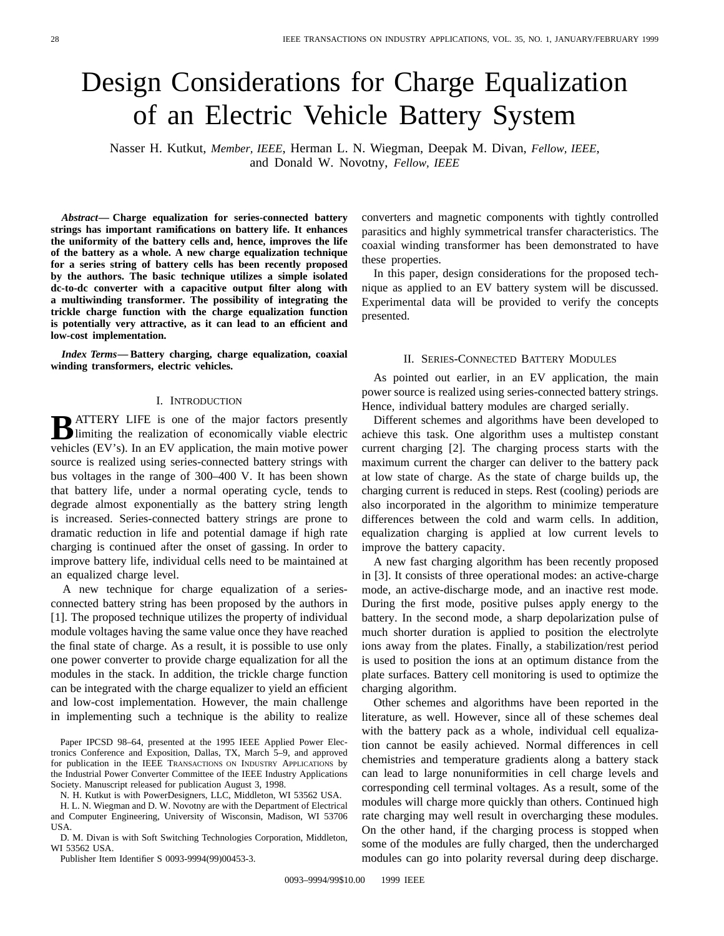# Design Considerations for Charge Equalization of an Electric Vehicle Battery System

Nasser H. Kutkut, *Member, IEEE*, Herman L. N. Wiegman, Deepak M. Divan, *Fellow, IEEE*, and Donald W. Novotny, *Fellow, IEEE*

*Abstract—* **Charge equalization for series-connected battery strings has important ramifications on battery life. It enhances the uniformity of the battery cells and, hence, improves the life of the battery as a whole. A new charge equalization technique for a series string of battery cells has been recently proposed by the authors. The basic technique utilizes a simple isolated dc-to-dc converter with a capacitive output filter along with a multiwinding transformer. The possibility of integrating the trickle charge function with the charge equalization function is potentially very attractive, as it can lead to an efficient and low-cost implementation.**

*Index Terms—* **Battery charging, charge equalization, coaxial winding transformers, electric vehicles.**

#### I. INTRODUCTION

**B**ATTERY LIFE is one of the major factors presently<br>limiting the realization of economically viable electric<br>which exists the major mating agreement vehicles (EV's). In an EV application, the main motive power source is realized using series-connected battery strings with bus voltages in the range of 300–400 V. It has been shown that battery life, under a normal operating cycle, tends to degrade almost exponentially as the battery string length is increased. Series-connected battery strings are prone to dramatic reduction in life and potential damage if high rate charging is continued after the onset of gassing. In order to improve battery life, individual cells need to be maintained at an equalized charge level.

A new technique for charge equalization of a seriesconnected battery string has been proposed by the authors in [1]. The proposed technique utilizes the property of individual module voltages having the same value once they have reached the final state of charge. As a result, it is possible to use only one power converter to provide charge equalization for all the modules in the stack. In addition, the trickle charge function can be integrated with the charge equalizer to yield an efficient and low-cost implementation. However, the main challenge in implementing such a technique is the ability to realize

Paper IPCSD 98–64, presented at the 1995 IEEE Applied Power Electronics Conference and Exposition, Dallas, TX, March 5–9, and approved for publication in the IEEE TRANSACTIONS ON INDUSTRY APPLICATIONS by the Industrial Power Converter Committee of the IEEE Industry Applications Society. Manuscript released for publication August 3, 1998.

N. H. Kutkut is with PowerDesigners, LLC, Middleton, WI 53562 USA.

H. L. N. Wiegman and D. W. Novotny are with the Department of Electrical and Computer Engineering, University of Wisconsin, Madison, WI 53706 USA.

D. M. Divan is with Soft Switching Technologies Corporation, Middleton, WI 53562 USA.

Publisher Item Identifier S 0093-9994(99)00453-3.

converters and magnetic components with tightly controlled parasitics and highly symmetrical transfer characteristics. The coaxial winding transformer has been demonstrated to have these properties.

In this paper, design considerations for the proposed technique as applied to an EV battery system will be discussed. Experimental data will be provided to verify the concepts presented.

## II. SERIES-CONNECTED BATTERY MODULES

As pointed out earlier, in an EV application, the main power source is realized using series-connected battery strings. Hence, individual battery modules are charged serially.

Different schemes and algorithms have been developed to achieve this task. One algorithm uses a multistep constant current charging [2]. The charging process starts with the maximum current the charger can deliver to the battery pack at low state of charge. As the state of charge builds up, the charging current is reduced in steps. Rest (cooling) periods are also incorporated in the algorithm to minimize temperature differences between the cold and warm cells. In addition, equalization charging is applied at low current levels to improve the battery capacity.

A new fast charging algorithm has been recently proposed in [3]. It consists of three operational modes: an active-charge mode, an active-discharge mode, and an inactive rest mode. During the first mode, positive pulses apply energy to the battery. In the second mode, a sharp depolarization pulse of much shorter duration is applied to position the electrolyte ions away from the plates. Finally, a stabilization/rest period is used to position the ions at an optimum distance from the plate surfaces. Battery cell monitoring is used to optimize the charging algorithm.

Other schemes and algorithms have been reported in the literature, as well. However, since all of these schemes deal with the battery pack as a whole, individual cell equalization cannot be easily achieved. Normal differences in cell chemistries and temperature gradients along a battery stack can lead to large nonuniformities in cell charge levels and corresponding cell terminal voltages. As a result, some of the modules will charge more quickly than others. Continued high rate charging may well result in overcharging these modules. On the other hand, if the charging process is stopped when some of the modules are fully charged, then the undercharged modules can go into polarity reversal during deep discharge.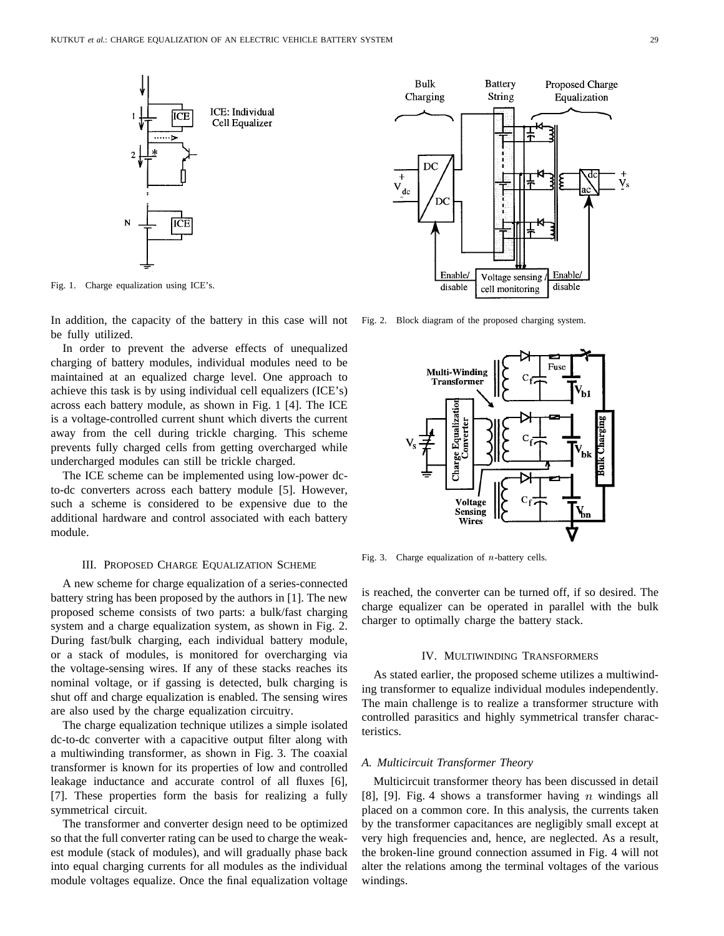

Fig. 1. Charge equalization using ICE's.

In addition, the capacity of the battery in this case will not Fig. 2. Block diagram of the proposed charging system. be fully utilized.

In order to prevent the adverse effects of unequalized charging of battery modules, individual modules need to be maintained at an equalized charge level. One approach to achieve this task is by using individual cell equalizers (ICE's) across each battery module, as shown in Fig. 1 [4]. The ICE is a voltage-controlled current shunt which diverts the current away from the cell during trickle charging. This scheme prevents fully charged cells from getting overcharged while undercharged modules can still be trickle charged.

The ICE scheme can be implemented using low-power dcto-dc converters across each battery module [5]. However, such a scheme is considered to be expensive due to the additional hardware and control associated with each battery module.

## III. PROPOSED CHARGE EQUALIZATION SCHEME

A new scheme for charge equalization of a series-connected battery string has been proposed by the authors in [1]. The new proposed scheme consists of two parts: a bulk/fast charging system and a charge equalization system, as shown in Fig. 2. During fast/bulk charging, each individual battery module, or a stack of modules, is monitored for overcharging via the voltage-sensing wires. If any of these stacks reaches its nominal voltage, or if gassing is detected, bulk charging is shut off and charge equalization is enabled. The sensing wires are also used by the charge equalization circuitry.

The charge equalization technique utilizes a simple isolated dc-to-dc converter with a capacitive output filter along with a multiwinding transformer, as shown in Fig. 3. The coaxial transformer is known for its properties of low and controlled leakage inductance and accurate control of all fluxes [6], [7]. These properties form the basis for realizing a fully symmetrical circuit.

The transformer and converter design need to be optimized so that the full converter rating can be used to charge the weakest module (stack of modules), and will gradually phase back into equal charging currents for all modules as the individual module voltages equalize. Once the final equalization voltage





Fig. 3. Charge equalization of  $n$ -battery cells.

is reached, the converter can be turned off, if so desired. The charge equalizer can be operated in parallel with the bulk charger to optimally charge the battery stack.

## IV. MULTIWINDING TRANSFORMERS

As stated earlier, the proposed scheme utilizes a multiwinding transformer to equalize individual modules independently. The main challenge is to realize a transformer structure with controlled parasitics and highly symmetrical transfer characteristics.

#### *A. Multicircuit Transformer Theory*

Multicircuit transformer theory has been discussed in detail [8], [9]. Fig. 4 shows a transformer having  $n$  windings all placed on a common core. In this analysis, the currents taken by the transformer capacitances are negligibly small except at very high frequencies and, hence, are neglected. As a result, the broken-line ground connection assumed in Fig. 4 will not alter the relations among the terminal voltages of the various windings.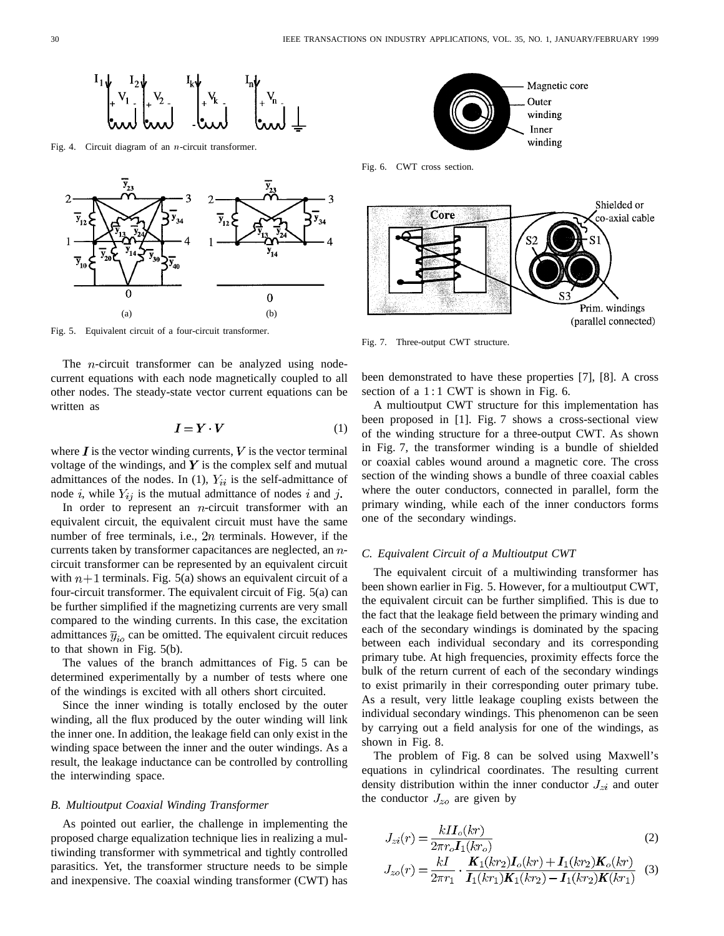

Fig. 4. Circuit diagram of an n-circuit transformer.



Fig. 5. Equivalent circuit of a four-circuit transformer.

The *n*-circuit transformer can be analyzed using nodecurrent equations with each node magnetically coupled to all other nodes. The steady-state vector current equations can be written as

$$
I = Y \cdot V \tag{1}
$$

where  $\bm{I}$  is the vector winding currents,  $\bm{V}$  is the vector terminal voltage of the windings, and  $Y$  is the complex self and mutual admittances of the nodes. In (1),  $Y_{ii}$  is the self-admittance of node i, while  $Y_{ij}$  is the mutual admittance of nodes i and j.

In order to represent an  $n$ -circuit transformer with an equivalent circuit, the equivalent circuit must have the same number of free terminals, i.e.,  $2n$  terminals. However, if the currents taken by transformer capacitances are neglected, an  $n$ circuit transformer can be represented by an equivalent circuit with  $n+1$  terminals. Fig. 5(a) shows an equivalent circuit of a four-circuit transformer. The equivalent circuit of Fig. 5(a) can be further simplified if the magnetizing currents are very small compared to the winding currents. In this case, the excitation admittances  $\overline{y}_{io}$  can be omitted. The equivalent circuit reduces to that shown in Fig. 5(b).

The values of the branch admittances of Fig. 5 can be determined experimentally by a number of tests where one of the windings is excited with all others short circuited.

Since the inner winding is totally enclosed by the outer winding, all the flux produced by the outer winding will link the inner one. In addition, the leakage field can only exist in the winding space between the inner and the outer windings. As a result, the leakage inductance can be controlled by controlling the interwinding space.

## *B. Multioutput Coaxial Winding Transformer*

As pointed out earlier, the challenge in implementing the proposed charge equalization technique lies in realizing a multiwinding transformer with symmetrical and tightly controlled parasitics. Yet, the transformer structure needs to be simple and inexpensive. The coaxial winding transformer (CWT) has



Fig. 6. CWT cross section.



Fig. 7. Three-output CWT structure.

been demonstrated to have these properties [7], [8]. A cross section of a  $1:1$  CWT is shown in Fig. 6.

A multioutput CWT structure for this implementation has been proposed in [1]. Fig. 7 shows a cross-sectional view of the winding structure for a three-output CWT. As shown in Fig. 7, the transformer winding is a bundle of shielded or coaxial cables wound around a magnetic core. The cross section of the winding shows a bundle of three coaxial cables where the outer conductors, connected in parallel, form the primary winding, while each of the inner conductors forms one of the secondary windings.

## *C. Equivalent Circuit of a Multioutput CWT*

The equivalent circuit of a multiwinding transformer has been shown earlier in Fig. 5. However, for a multioutput CWT, the equivalent circuit can be further simplified. This is due to the fact that the leakage field between the primary winding and each of the secondary windings is dominated by the spacing between each individual secondary and its corresponding primary tube. At high frequencies, proximity effects force the bulk of the return current of each of the secondary windings to exist primarily in their corresponding outer primary tube. As a result, very little leakage coupling exists between the individual secondary windings. This phenomenon can be seen by carrying out a field analysis for one of the windings, as shown in Fig. 8.

The problem of Fig. 8 can be solved using Maxwell's equations in cylindrical coordinates. The resulting current density distribution within the inner conductor  $J_{zi}$  and outer the conductor  $J_{z0}$  are given by

$$
J_{zi}(r) = \frac{kII_o(kr)}{2\pi r_o I_1(kr_o)}\tag{2}
$$

$$
J_{zo}(r) = \frac{kI}{2\pi r_1} \cdot \frac{\mathbf{K}_1(kr_2)\mathbf{I}_o(kr) + \mathbf{I}_1(kr_2)\mathbf{K}_o(kr)}{\mathbf{I}_1(kr_1)\mathbf{K}_1(kr_2) - \mathbf{I}_1(kr_2)\mathbf{K}(kr_1)}
$$
(3)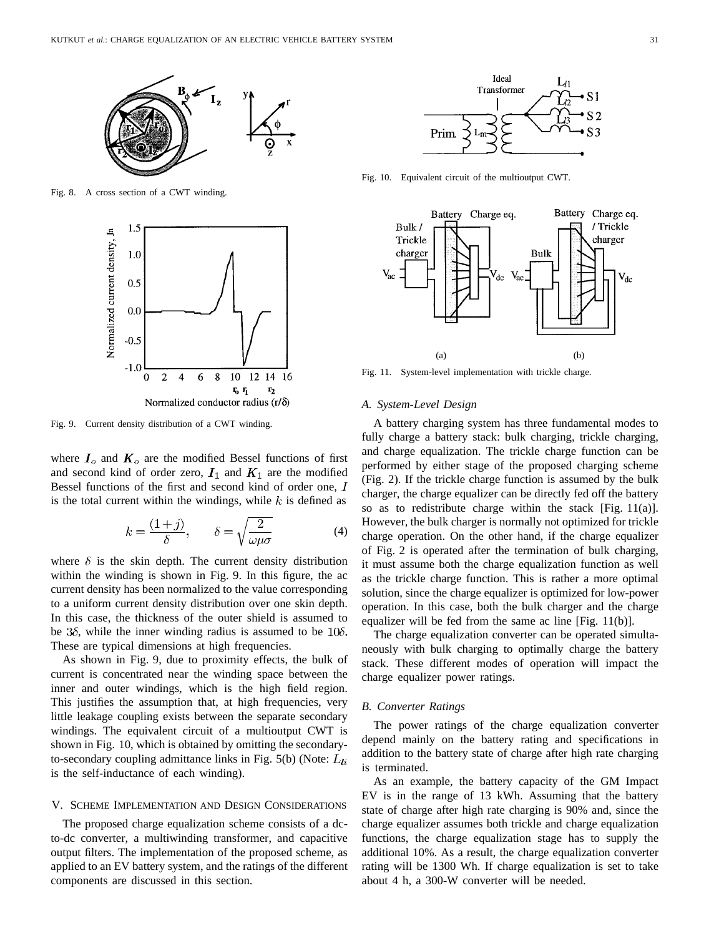

Fig. 8. A cross section of a CWT winding.



Fig. 9. Current density distribution of a CWT winding.

where  $I_o$  and  $K_o$  are the modified Bessel functions of first and second kind of order zero,  $I_1$  and  $K_1$  are the modified Bessel functions of the first and second kind of order one,  $I$ is the total current within the windings, while  $k$  is defined as

$$
k = \frac{(1+j)}{\delta}, \qquad \delta = \sqrt{\frac{2}{\omega\mu\sigma}} \tag{4}
$$

where  $\delta$  is the skin depth. The current density distribution within the winding is shown in Fig. 9. In this figure, the ac current density has been normalized to the value corresponding to a uniform current density distribution over one skin depth. In this case, the thickness of the outer shield is assumed to be  $3\delta$ , while the inner winding radius is assumed to be  $10\delta$ . These are typical dimensions at high frequencies.

As shown in Fig. 9, due to proximity effects, the bulk of current is concentrated near the winding space between the inner and outer windings, which is the high field region. This justifies the assumption that, at high frequencies, very little leakage coupling exists between the separate secondary windings. The equivalent circuit of a multioutput CWT is shown in Fig. 10, which is obtained by omitting the secondaryto-secondary coupling admittance links in Fig. 5(b) (Note:  $L_{li}$ is the self-inductance of each winding).

### V. SCHEME IMPLEMENTATION AND DESIGN CONSIDERATIONS

The proposed charge equalization scheme consists of a dcto-dc converter, a multiwinding transformer, and capacitive output filters. The implementation of the proposed scheme, as applied to an EV battery system, and the ratings of the different components are discussed in this section.



Fig. 10. Equivalent circuit of the multioutput CWT.



Fig. 11. System-level implementation with trickle charge.

#### *A. System-Level Design*

A battery charging system has three fundamental modes to fully charge a battery stack: bulk charging, trickle charging, and charge equalization. The trickle charge function can be performed by either stage of the proposed charging scheme (Fig. 2). If the trickle charge function is assumed by the bulk charger, the charge equalizer can be directly fed off the battery so as to redistribute charge within the stack [Fig. 11(a)]. However, the bulk charger is normally not optimized for trickle charge operation. On the other hand, if the charge equalizer of Fig. 2 is operated after the termination of bulk charging, it must assume both the charge equalization function as well as the trickle charge function. This is rather a more optimal solution, since the charge equalizer is optimized for low-power operation. In this case, both the bulk charger and the charge equalizer will be fed from the same ac line [Fig. 11(b)].

The charge equalization converter can be operated simultaneously with bulk charging to optimally charge the battery stack. These different modes of operation will impact the charge equalizer power ratings.

#### *B. Converter Ratings*

The power ratings of the charge equalization converter depend mainly on the battery rating and specifications in addition to the battery state of charge after high rate charging is terminated.

As an example, the battery capacity of the GM Impact EV is in the range of 13 kWh. Assuming that the battery state of charge after high rate charging is 90% and, since the charge equalizer assumes both trickle and charge equalization functions, the charge equalization stage has to supply the additional 10%. As a result, the charge equalization converter rating will be 1300 Wh. If charge equalization is set to take about 4 h, a 300-W converter will be needed.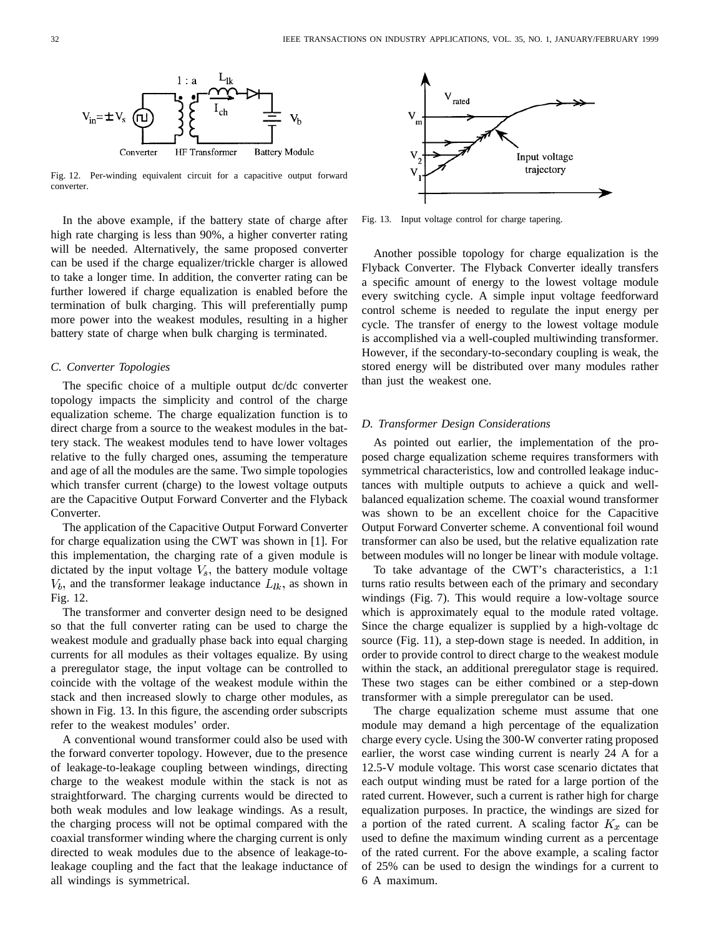

Fig. 12. Per-winding equivalent circuit for a capacitive output forward converter.

In the above example, if the battery state of charge after high rate charging is less than 90%, a higher converter rating will be needed. Alternatively, the same proposed converter can be used if the charge equalizer/trickle charger is allowed to take a longer time. In addition, the converter rating can be further lowered if charge equalization is enabled before the termination of bulk charging. This will preferentially pump more power into the weakest modules, resulting in a higher battery state of charge when bulk charging is terminated.

#### *C. Converter Topologies*

The specific choice of a multiple output dc/dc converter topology impacts the simplicity and control of the charge equalization scheme. The charge equalization function is to direct charge from a source to the weakest modules in the battery stack. The weakest modules tend to have lower voltages relative to the fully charged ones, assuming the temperature and age of all the modules are the same. Two simple topologies which transfer current (charge) to the lowest voltage outputs are the Capacitive Output Forward Converter and the Flyback Converter.

The application of the Capacitive Output Forward Converter for charge equalization using the CWT was shown in [1]. For this implementation, the charging rate of a given module is dictated by the input voltage  $V_s$ , the battery module voltage  $V_b$ , and the transformer leakage inductance  $L_{lk}$ , as shown in Fig. 12.

The transformer and converter design need to be designed so that the full converter rating can be used to charge the weakest module and gradually phase back into equal charging currents for all modules as their voltages equalize. By using a preregulator stage, the input voltage can be controlled to coincide with the voltage of the weakest module within the stack and then increased slowly to charge other modules, as shown in Fig. 13. In this figure, the ascending order subscripts refer to the weakest modules' order.

A conventional wound transformer could also be used with the forward converter topology. However, due to the presence of leakage-to-leakage coupling between windings, directing charge to the weakest module within the stack is not as straightforward. The charging currents would be directed to both weak modules and low leakage windings. As a result, the charging process will not be optimal compared with the coaxial transformer winding where the charging current is only directed to weak modules due to the absence of leakage-toleakage coupling and the fact that the leakage inductance of all windings is symmetrical.



Fig. 13. Input voltage control for charge tapering.

Another possible topology for charge equalization is the Flyback Converter. The Flyback Converter ideally transfers a specific amount of energy to the lowest voltage module every switching cycle. A simple input voltage feedforward control scheme is needed to regulate the input energy per cycle. The transfer of energy to the lowest voltage module is accomplished via a well-coupled multiwinding transformer. However, if the secondary-to-secondary coupling is weak, the stored energy will be distributed over many modules rather than just the weakest one.

#### *D. Transformer Design Considerations*

As pointed out earlier, the implementation of the proposed charge equalization scheme requires transformers with symmetrical characteristics, low and controlled leakage inductances with multiple outputs to achieve a quick and wellbalanced equalization scheme. The coaxial wound transformer was shown to be an excellent choice for the Capacitive Output Forward Converter scheme. A conventional foil wound transformer can also be used, but the relative equalization rate between modules will no longer be linear with module voltage.

To take advantage of the CWT's characteristics, a 1:1 turns ratio results between each of the primary and secondary windings (Fig. 7). This would require a low-voltage source which is approximately equal to the module rated voltage. Since the charge equalizer is supplied by a high-voltage dc source (Fig. 11), a step-down stage is needed. In addition, in order to provide control to direct charge to the weakest module within the stack, an additional preregulator stage is required. These two stages can be either combined or a step-down transformer with a simple preregulator can be used.

The charge equalization scheme must assume that one module may demand a high percentage of the equalization charge every cycle. Using the 300-W converter rating proposed earlier, the worst case winding current is nearly 24 A for a 12.5-V module voltage. This worst case scenario dictates that each output winding must be rated for a large portion of the rated current. However, such a current is rather high for charge equalization purposes. In practice, the windings are sized for a portion of the rated current. A scaling factor  $K_x$  can be used to define the maximum winding current as a percentage of the rated current. For the above example, a scaling factor of 25% can be used to design the windings for a current to 6 A maximum.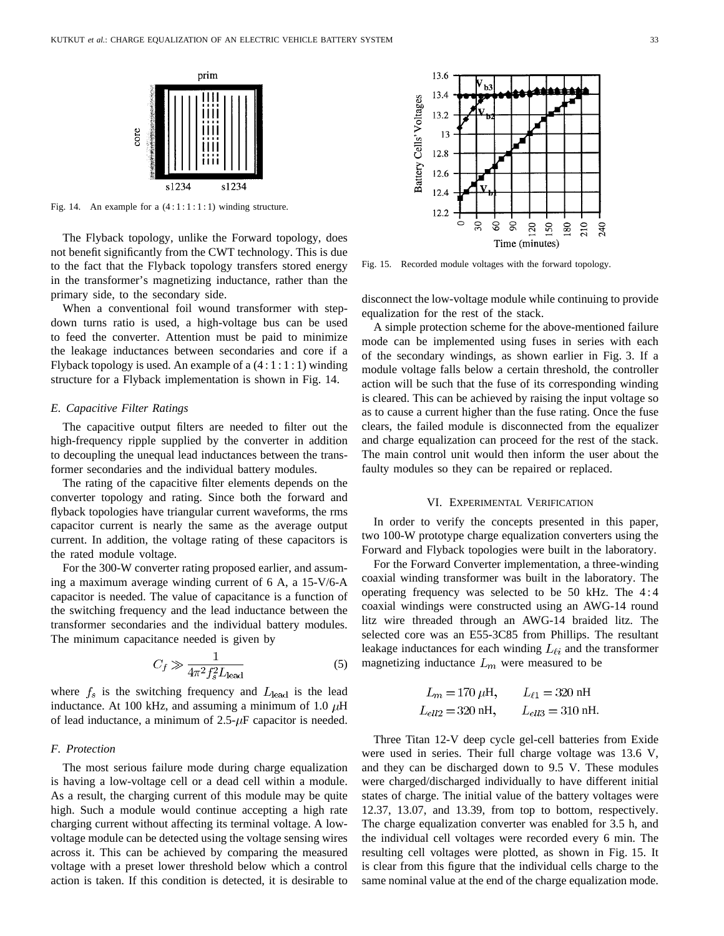

Fig. 14. An example for a  $(4:1:1:1:1)$  winding structure.

The Flyback topology, unlike the Forward topology, does not benefit significantly from the CWT technology. This is due to the fact that the Flyback topology transfers stored energy in the transformer's magnetizing inductance, rather than the primary side, to the secondary side.

When a conventional foil wound transformer with stepdown turns ratio is used, a high-voltage bus can be used to feed the converter. Attention must be paid to minimize the leakage inductances between secondaries and core if a Flyback topology is used. An example of a  $(4:1:1:1)$  winding structure for a Flyback implementation is shown in Fig. 14.

## *E. Capacitive Filter Ratings*

The capacitive output filters are needed to filter out the high-frequency ripple supplied by the converter in addition to decoupling the unequal lead inductances between the transformer secondaries and the individual battery modules.

The rating of the capacitive filter elements depends on the converter topology and rating. Since both the forward and flyback topologies have triangular current waveforms, the rms capacitor current is nearly the same as the average output current. In addition, the voltage rating of these capacitors is the rated module voltage.

For the 300-W converter rating proposed earlier, and assuming a maximum average winding current of 6 A, a 15-V/6-A capacitor is needed. The value of capacitance is a function of the switching frequency and the lead inductance between the transformer secondaries and the individual battery modules. The minimum capacitance needed is given by

$$
C_f \gg \frac{1}{4\pi^2 f_s^2 L_{\text{lead}}}
$$
\n(5)

where  $f_s$  is the switching frequency and  $L_{\text{lead}}$  is the lead inductance. At 100 kHz, and assuming a minimum of 1.0  $\mu$ H of lead inductance, a minimum of  $2.5-\mu$ F capacitor is needed.

# *F. Protection*

The most serious failure mode during charge equalization is having a low-voltage cell or a dead cell within a module. As a result, the charging current of this module may be quite high. Such a module would continue accepting a high rate charging current without affecting its terminal voltage. A lowvoltage module can be detected using the voltage sensing wires across it. This can be achieved by comparing the measured voltage with a preset lower threshold below which a control action is taken. If this condition is detected, it is desirable to



Fig. 15. Recorded module voltages with the forward topology.

disconnect the low-voltage module while continuing to provide equalization for the rest of the stack.

A simple protection scheme for the above-mentioned failure mode can be implemented using fuses in series with each of the secondary windings, as shown earlier in Fig. 3. If a module voltage falls below a certain threshold, the controller action will be such that the fuse of its corresponding winding is cleared. This can be achieved by raising the input voltage so as to cause a current higher than the fuse rating. Once the fuse clears, the failed module is disconnected from the equalizer and charge equalization can proceed for the rest of the stack. The main control unit would then inform the user about the faulty modules so they can be repaired or replaced.

## VI. EXPERIMENTAL VERIFICATION

In order to verify the concepts presented in this paper, two 100-W prototype charge equalization converters using the Forward and Flyback topologies were built in the laboratory.

For the Forward Converter implementation, a three-winding coaxial winding transformer was built in the laboratory. The operating frequency was selected to be 50 kHz. The 4 : 4 coaxial windings were constructed using an AWG-14 round litz wire threaded through an AWG-14 braided litz. The selected core was an E55-3C85 from Phillips. The resultant leakage inductances for each winding  $L_{\ell i}$  and the transformer magnetizing inductance  $L_m$  were measured to be

$$
L_m = 170 \,\mu\text{H},
$$
  $L_{\ell 1} = 320 \,\text{nH}$   
\n $L_{\ell l l 2} = 320 \,\text{nH},$   $L_{\ell l l 3} = 310 \,\text{nH}.$ 

Three Titan 12-V deep cycle gel-cell batteries from Exide were used in series. Their full charge voltage was 13.6 V, and they can be discharged down to 9.5 V. These modules were charged/discharged individually to have different initial states of charge. The initial value of the battery voltages were 12.37, 13.07, and 13.39, from top to bottom, respectively. The charge equalization converter was enabled for 3.5 h, and the individual cell voltages were recorded every 6 min. The resulting cell voltages were plotted, as shown in Fig. 15. It is clear from this figure that the individual cells charge to the same nominal value at the end of the charge equalization mode.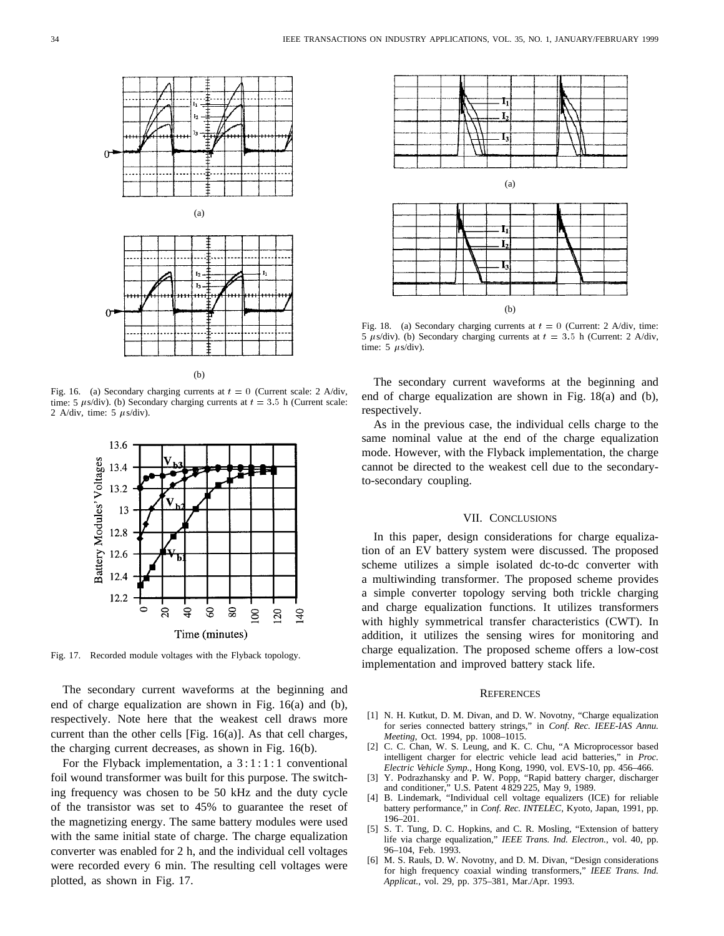

Fig. 16. (a) Secondary charging currents at  $t = 0$  (Current scale: 2 A/div, time: 5  $\mu$ s/div). (b) Secondary charging currents at  $t = 3.5$  h (Current scale: 2 A/div, time:  $5 \mu s$ /div).



Fig. 17. Recorded module voltages with the Flyback topology.

The secondary current waveforms at the beginning and end of charge equalization are shown in Fig. 16(a) and (b), respectively. Note here that the weakest cell draws more current than the other cells [Fig. 16(a)]. As that cell charges, the charging current decreases, as shown in Fig. 16(b).

For the Flyback implementation, a  $3:1:1:1$  conventional foil wound transformer was built for this purpose. The switching frequency was chosen to be 50 kHz and the duty cycle of the transistor was set to 45% to guarantee the reset of the magnetizing energy. The same battery modules were used with the same initial state of charge. The charge equalization converter was enabled for 2 h, and the individual cell voltages were recorded every 6 min. The resulting cell voltages were plotted, as shown in Fig. 17.



Fig. 18. (a) Secondary charging currents at  $t = 0$  (Current: 2 A/div, time: 5  $\mu$ s/div). (b) Secondary charging currents at  $t = 3.5$  h (Current: 2 A/div, time:  $5 \mu s/div$ ).

The secondary current waveforms at the beginning and end of charge equalization are shown in Fig. 18(a) and (b), respectively.

As in the previous case, the individual cells charge to the same nominal value at the end of the charge equalization mode. However, with the Flyback implementation, the charge cannot be directed to the weakest cell due to the secondaryto-secondary coupling.

# VII. CONCLUSIONS

In this paper, design considerations for charge equalization of an EV battery system were discussed. The proposed scheme utilizes a simple isolated dc-to-dc converter with a multiwinding transformer. The proposed scheme provides a simple converter topology serving both trickle charging and charge equalization functions. It utilizes transformers with highly symmetrical transfer characteristics (CWT). In addition, it utilizes the sensing wires for monitoring and charge equalization. The proposed scheme offers a low-cost implementation and improved battery stack life.

## **REFERENCES**

- [1] N. H. Kutkut, D. M. Divan, and D. W. Novotny, "Charge equalization for series connected battery strings," in *Conf. Rec. IEEE-IAS Annu. Meeting*, Oct. 1994, pp. 1008–1015.
- [2] C. C. Chan, W. S. Leung, and K. C. Chu, "A Microprocessor based intelligent charger for electric vehicle lead acid batteries," in *Proc. Electric Vehicle Symp.*, Hong Kong, 1990, vol. EVS-10, pp. 456–466.
- [3] Y. Podrazhansky and P. W. Popp, "Rapid battery charger, discharger and conditioner," U.S. Patent 4 829 225, May 9, 1989.
- [4] B. Lindemark, "Individual cell voltage equalizers (ICE) for reliable battery performance," in *Conf. Rec. INTELEC*, Kyoto, Japan, 1991, pp. 196–201.
- [5] S. T. Tung, D. C. Hopkins, and C. R. Mosling, "Extension of battery life via charge equalization," *IEEE Trans. Ind. Electron.*, vol. 40, pp. 96–104, Feb. 1993.
- [6] M. S. Rauls, D. W. Novotny, and D. M. Divan, "Design considerations for high frequency coaxial winding transformers," *IEEE Trans. Ind. Applicat.*, vol. 29, pp. 375–381, Mar./Apr. 1993.